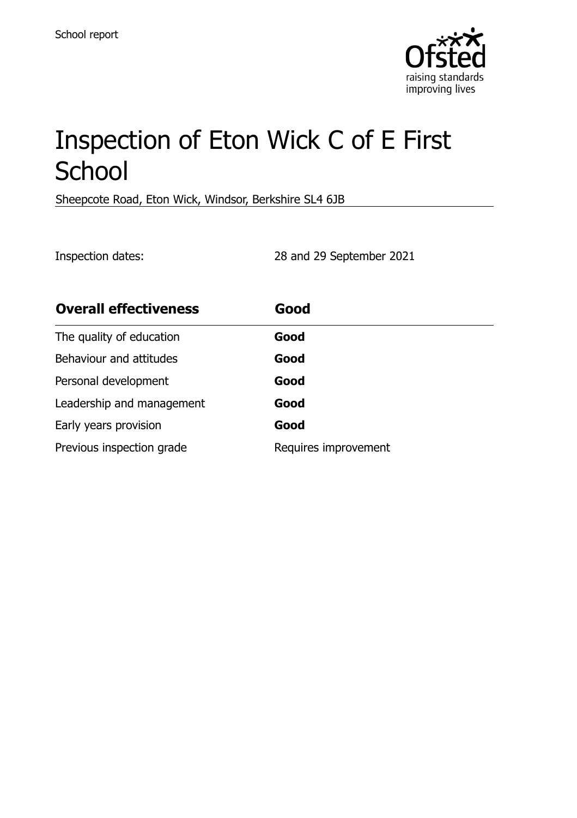

# Inspection of Eton Wick C of E First **School**

Sheepcote Road, Eton Wick, Windsor, Berkshire SL4 6JB

Inspection dates: 28 and 29 September 2021

| <b>Overall effectiveness</b> | Good                 |
|------------------------------|----------------------|
| The quality of education     | Good                 |
| Behaviour and attitudes      | Good                 |
| Personal development         | Good                 |
| Leadership and management    | Good                 |
| Early years provision        | Good                 |
| Previous inspection grade    | Requires improvement |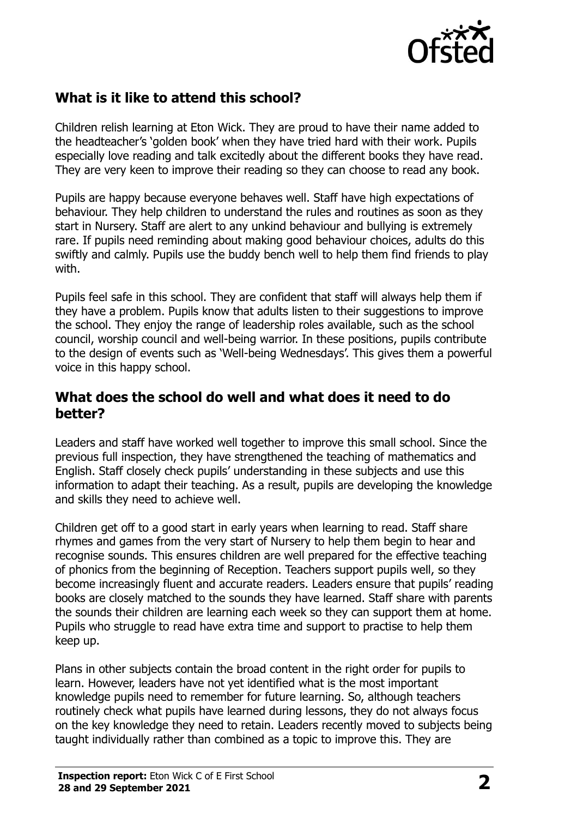

## **What is it like to attend this school?**

Children relish learning at Eton Wick. They are proud to have their name added to the headteacher's 'golden book' when they have tried hard with their work. Pupils especially love reading and talk excitedly about the different books they have read. They are very keen to improve their reading so they can choose to read any book.

Pupils are happy because everyone behaves well. Staff have high expectations of behaviour. They help children to understand the rules and routines as soon as they start in Nursery. Staff are alert to any unkind behaviour and bullying is extremely rare. If pupils need reminding about making good behaviour choices, adults do this swiftly and calmly. Pupils use the buddy bench well to help them find friends to play with.

Pupils feel safe in this school. They are confident that staff will always help them if they have a problem. Pupils know that adults listen to their suggestions to improve the school. They enjoy the range of leadership roles available, such as the school council, worship council and well-being warrior. In these positions, pupils contribute to the design of events such as 'Well-being Wednesdays'. This gives them a powerful voice in this happy school.

### **What does the school do well and what does it need to do better?**

Leaders and staff have worked well together to improve this small school. Since the previous full inspection, they have strengthened the teaching of mathematics and English. Staff closely check pupils' understanding in these subjects and use this information to adapt their teaching. As a result, pupils are developing the knowledge and skills they need to achieve well.

Children get off to a good start in early years when learning to read. Staff share rhymes and games from the very start of Nursery to help them begin to hear and recognise sounds. This ensures children are well prepared for the effective teaching of phonics from the beginning of Reception. Teachers support pupils well, so they become increasingly fluent and accurate readers. Leaders ensure that pupils' reading books are closely matched to the sounds they have learned. Staff share with parents the sounds their children are learning each week so they can support them at home. Pupils who struggle to read have extra time and support to practise to help them keep up.

Plans in other subjects contain the broad content in the right order for pupils to learn. However, leaders have not yet identified what is the most important knowledge pupils need to remember for future learning. So, although teachers routinely check what pupils have learned during lessons, they do not always focus on the key knowledge they need to retain. Leaders recently moved to subjects being taught individually rather than combined as a topic to improve this. They are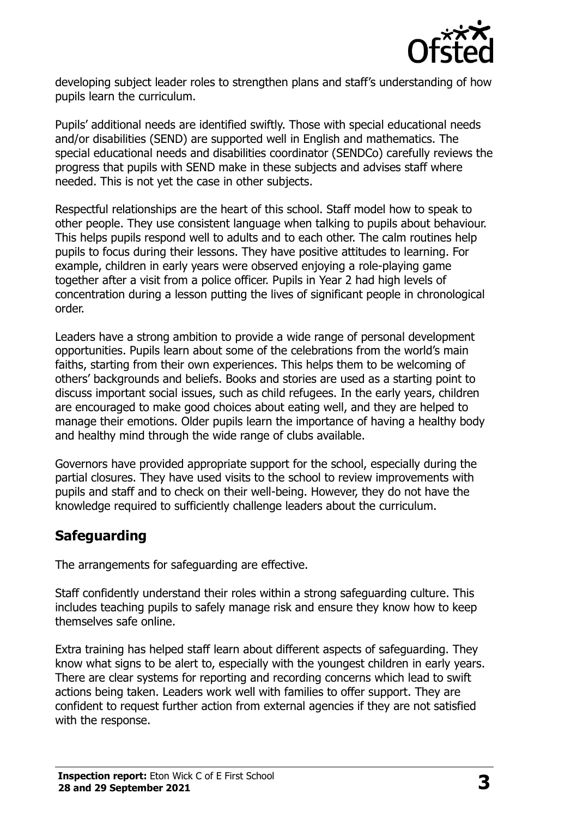

developing subject leader roles to strengthen plans and staff's understanding of how pupils learn the curriculum.

Pupils' additional needs are identified swiftly. Those with special educational needs and/or disabilities (SEND) are supported well in English and mathematics. The special educational needs and disabilities coordinator (SENDCo) carefully reviews the progress that pupils with SEND make in these subjects and advises staff where needed. This is not yet the case in other subjects.

Respectful relationships are the heart of this school. Staff model how to speak to other people. They use consistent language when talking to pupils about behaviour. This helps pupils respond well to adults and to each other. The calm routines help pupils to focus during their lessons. They have positive attitudes to learning. For example, children in early years were observed enjoying a role-playing game together after a visit from a police officer. Pupils in Year 2 had high levels of concentration during a lesson putting the lives of significant people in chronological order.

Leaders have a strong ambition to provide a wide range of personal development opportunities. Pupils learn about some of the celebrations from the world's main faiths, starting from their own experiences. This helps them to be welcoming of others' backgrounds and beliefs. Books and stories are used as a starting point to discuss important social issues, such as child refugees. In the early years, children are encouraged to make good choices about eating well, and they are helped to manage their emotions. Older pupils learn the importance of having a healthy body and healthy mind through the wide range of clubs available.

Governors have provided appropriate support for the school, especially during the partial closures. They have used visits to the school to review improvements with pupils and staff and to check on their well-being. However, they do not have the knowledge required to sufficiently challenge leaders about the curriculum.

## **Safeguarding**

The arrangements for safeguarding are effective.

Staff confidently understand their roles within a strong safeguarding culture. This includes teaching pupils to safely manage risk and ensure they know how to keep themselves safe online.

Extra training has helped staff learn about different aspects of safeguarding. They know what signs to be alert to, especially with the youngest children in early years. There are clear systems for reporting and recording concerns which lead to swift actions being taken. Leaders work well with families to offer support. They are confident to request further action from external agencies if they are not satisfied with the response.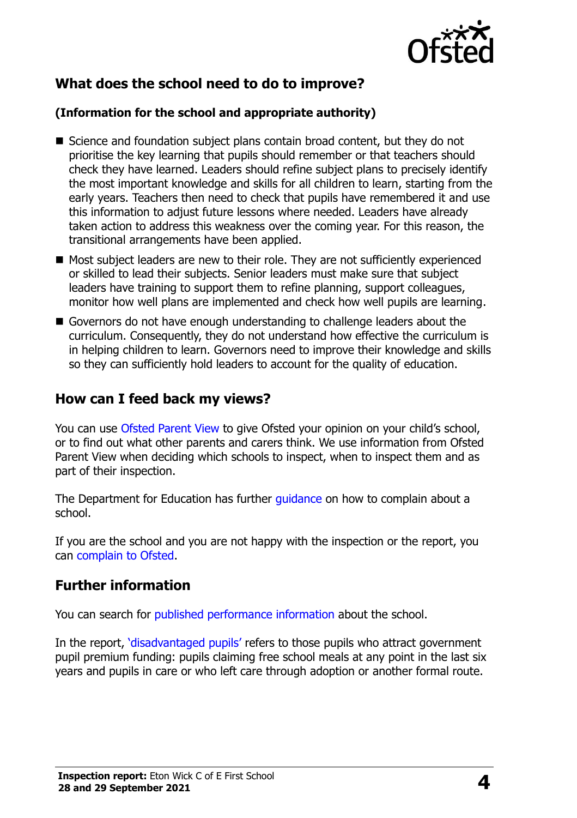

## **What does the school need to do to improve?**

#### **(Information for the school and appropriate authority)**

- Science and foundation subject plans contain broad content, but they do not prioritise the key learning that pupils should remember or that teachers should check they have learned. Leaders should refine subject plans to precisely identify the most important knowledge and skills for all children to learn, starting from the early years. Teachers then need to check that pupils have remembered it and use this information to adjust future lessons where needed. Leaders have already taken action to address this weakness over the coming year. For this reason, the transitional arrangements have been applied.
- Most subject leaders are new to their role. They are not sufficiently experienced or skilled to lead their subjects. Senior leaders must make sure that subject leaders have training to support them to refine planning, support colleagues, monitor how well plans are implemented and check how well pupils are learning.
- Governors do not have enough understanding to challenge leaders about the curriculum. Consequently, they do not understand how effective the curriculum is in helping children to learn. Governors need to improve their knowledge and skills so they can sufficiently hold leaders to account for the quality of education.

### **How can I feed back my views?**

You can use [Ofsted Parent View](http://parentview.ofsted.gov.uk/) to give Ofsted your opinion on your child's school, or to find out what other parents and carers think. We use information from Ofsted Parent View when deciding which schools to inspect, when to inspect them and as part of their inspection.

The Department for Education has further quidance on how to complain about a school.

If you are the school and you are not happy with the inspection or the report, you can [complain to Ofsted.](http://www.gov.uk/complain-ofsted-report)

## **Further information**

You can search for [published performance information](http://www.compare-school-performance.service.gov.uk/) about the school.

In the report, '[disadvantaged pupils](http://www.gov.uk/guidance/pupil-premium-information-for-schools-and-alternative-provision-settings)' refers to those pupils who attract government pupil premium funding: pupils claiming free school meals at any point in the last six years and pupils in care or who left care through adoption or another formal route.

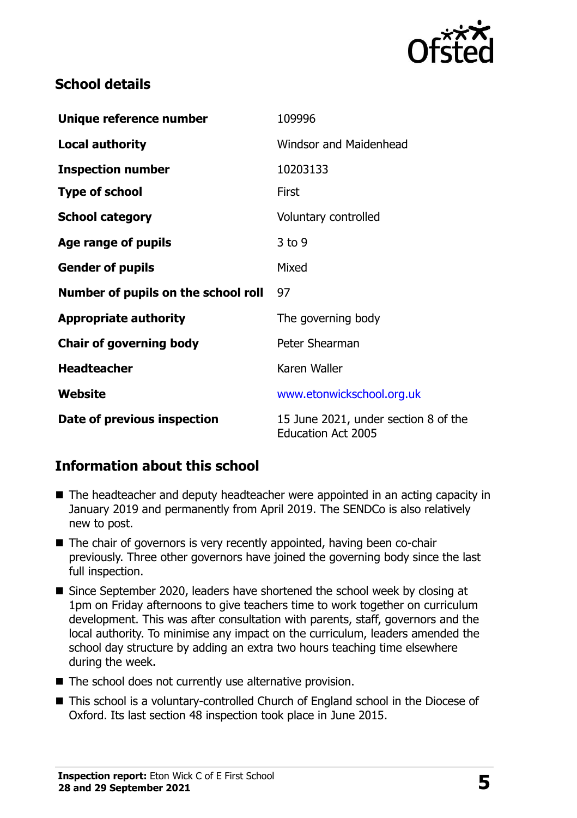

## **School details**

| Unique reference number             | 109996                                                            |
|-------------------------------------|-------------------------------------------------------------------|
| <b>Local authority</b>              | <b>Windsor and Maidenhead</b>                                     |
| <b>Inspection number</b>            | 10203133                                                          |
| <b>Type of school</b>               | <b>First</b>                                                      |
| <b>School category</b>              | Voluntary controlled                                              |
| Age range of pupils                 | $3$ to 9                                                          |
| <b>Gender of pupils</b>             | Mixed                                                             |
| Number of pupils on the school roll | 97                                                                |
| <b>Appropriate authority</b>        | The governing body                                                |
| <b>Chair of governing body</b>      | Peter Shearman                                                    |
| <b>Headteacher</b>                  | Karen Waller                                                      |
| Website                             | www.etonwickschool.org.uk                                         |
| Date of previous inspection         | 15 June 2021, under section 8 of the<br><b>Education Act 2005</b> |

## **Information about this school**

- The headteacher and deputy headteacher were appointed in an acting capacity in January 2019 and permanently from April 2019. The SENDCo is also relatively new to post.
- The chair of governors is very recently appointed, having been co-chair previously. Three other governors have joined the governing body since the last full inspection.
- Since September 2020, leaders have shortened the school week by closing at 1pm on Friday afternoons to give teachers time to work together on curriculum development. This was after consultation with parents, staff, governors and the local authority. To minimise any impact on the curriculum, leaders amended the school day structure by adding an extra two hours teaching time elsewhere during the week.
- The school does not currently use alternative provision.
- This school is a voluntary-controlled Church of England school in the Diocese of Oxford. Its last section 48 inspection took place in June 2015.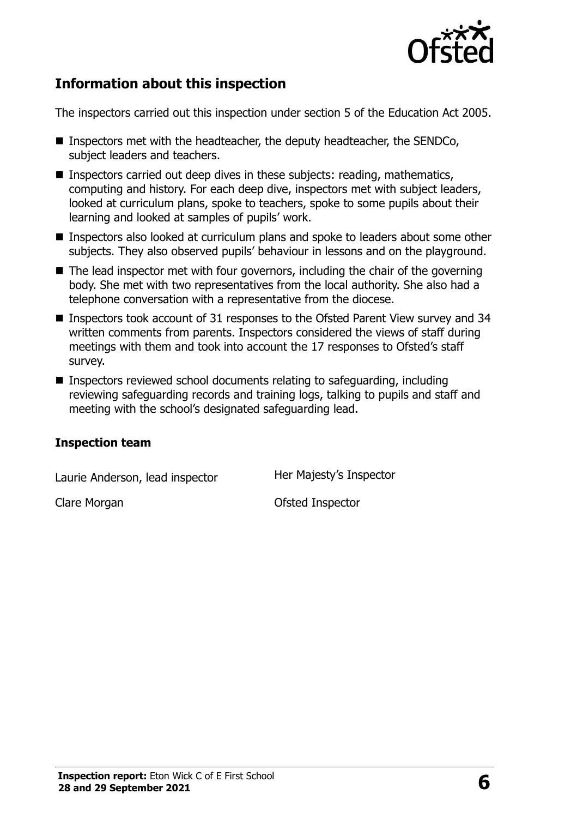

## **Information about this inspection**

The inspectors carried out this inspection under section 5 of the Education Act 2005.

- Inspectors met with the headteacher, the deputy headteacher, the SENDCo, subject leaders and teachers.
- Inspectors carried out deep dives in these subjects: reading, mathematics, computing and history. For each deep dive, inspectors met with subject leaders, looked at curriculum plans, spoke to teachers, spoke to some pupils about their learning and looked at samples of pupils' work.
- Inspectors also looked at curriculum plans and spoke to leaders about some other subjects. They also observed pupils' behaviour in lessons and on the playground.
- The lead inspector met with four governors, including the chair of the governing body. She met with two representatives from the local authority. She also had a telephone conversation with a representative from the diocese.
- Inspectors took account of 31 responses to the Ofsted Parent View survey and 34 written comments from parents. Inspectors considered the views of staff during meetings with them and took into account the 17 responses to Ofsted's staff survey.
- Inspectors reviewed school documents relating to safeguarding, including reviewing safeguarding records and training logs, talking to pupils and staff and meeting with the school's designated safeguarding lead.

#### **Inspection team**

Laurie Anderson, lead inspector Her Majesty's Inspector

Clare Morgan Clare Morgan Clare Morgan Clare Morgan Clare Clare Control Clare Morgan Clare Clare Control Of Steed Inspector